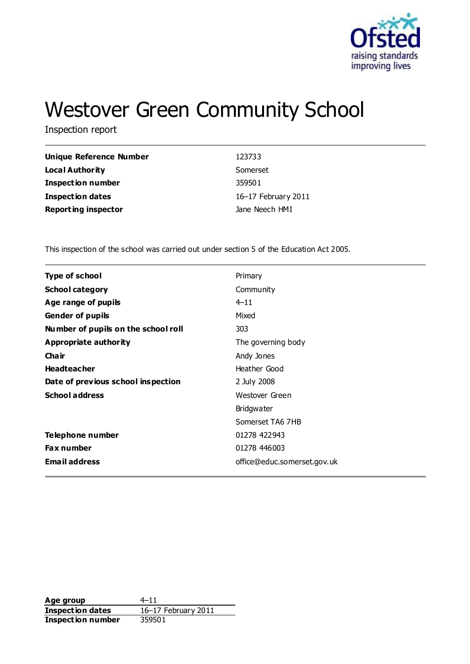

# Westover Green Community School

Inspection report

| <b>Unique Reference Number</b> | 123733              |
|--------------------------------|---------------------|
| Local Authority                | Somerset            |
| <b>Inspection number</b>       | 359501              |
| <b>Inspection dates</b>        | 16–17 February 2011 |
| <b>Reporting inspector</b>     | Jane Neech HMI      |

This inspection of the school was carried out under section 5 of the Education Act 2005.

| <b>Type of school</b>               | Primary                     |
|-------------------------------------|-----------------------------|
| <b>School category</b>              | Community                   |
| Age range of pupils                 | $4 - 11$                    |
| <b>Gender of pupils</b>             | Mixed                       |
| Number of pupils on the school roll | 303                         |
| Appropriate authority               | The governing body          |
| Cha ir                              | Andy Jones                  |
| <b>Headteacher</b>                  | Heather Good                |
| Date of previous school inspection  | 2 July 2008                 |
| <b>School address</b>               | Westover Green              |
|                                     | <b>Bridgwater</b>           |
|                                     | Somerset TA6 7HB            |
| Telephone number                    | 01278 422943                |
| <b>Fax number</b>                   | 01278 446003                |
| <b>Email address</b>                | office@educ.somerset.gov.uk |
|                                     |                             |

**Age group** 4–11 **Inspection dates** 16–17 February 2011 **Inspection number** 359501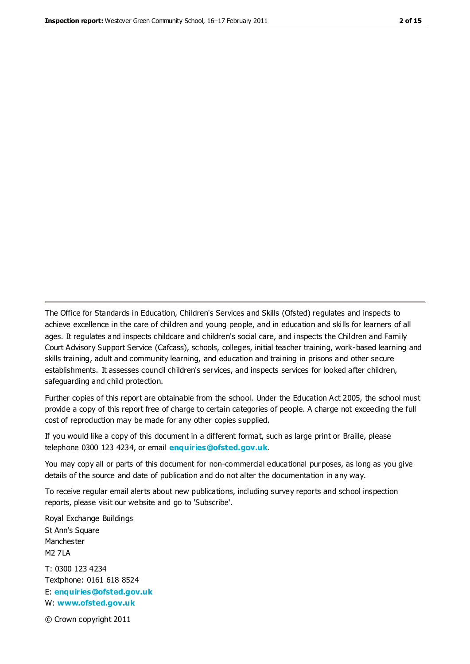The Office for Standards in Education, Children's Services and Skills (Ofsted) regulates and inspects to achieve excellence in the care of children and young people, and in education and skills for learners of all ages. It regulates and inspects childcare and children's social care, and inspects the Children and Family Court Advisory Support Service (Cafcass), schools, colleges, initial teacher training, work-based learning and skills training, adult and community learning, and education and training in prisons and other secure establishments. It assesses council children's services, and inspects services for looked after children, safeguarding and child protection.

Further copies of this report are obtainable from the school. Under the Education Act 2005, the school must provide a copy of this report free of charge to certain categories of people. A charge not exceeding the full cost of reproduction may be made for any other copies supplied.

If you would like a copy of this document in a different format, such as large print or Braille, please telephone 0300 123 4234, or email **[enquiries@ofsted.gov.uk](mailto:enquiries@ofsted.gov.uk)**.

You may copy all or parts of this document for non-commercial educational purposes, as long as you give details of the source and date of publication and do not alter the documentation in any way.

To receive regular email alerts about new publications, including survey reports and school inspection reports, please visit our website and go to 'Subscribe'.

Royal Exchange Buildings St Ann's Square Manchester M2 7LA T: 0300 123 4234 Textphone: 0161 618 8524 E: **[enquiries@ofsted.gov.uk](mailto:enquiries@ofsted.gov.uk)**

W: **[www.ofsted.gov.uk](http://www.ofsted.gov.uk/)**

© Crown copyright 2011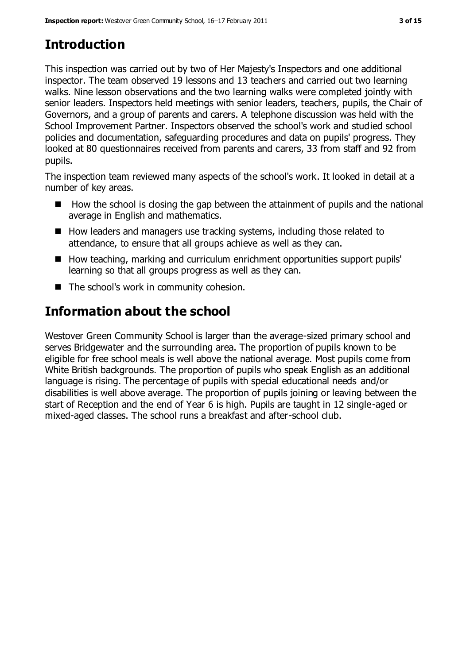# **Introduction**

This inspection was carried out by two of Her Majesty's Inspectors and one additional inspector. The team observed 19 lessons and 13 teachers and carried out two learning walks. Nine lesson observations and the two learning walks were completed jointly with senior leaders. Inspectors held meetings with senior leaders, teachers, pupils, the Chair of Governors, and a group of parents and carers. A telephone discussion was held with the School Improvement Partner. Inspectors observed the school's work and studied school policies and documentation, safeguarding procedures and data on pupils' progress. They looked at 80 questionnaires received from parents and carers, 33 from staff and 92 from pupils.

The inspection team reviewed many aspects of the school's work. It looked in detail at a number of key areas.

- $\blacksquare$  How the school is closing the gap between the attainment of pupils and the national average in English and mathematics.
- How leaders and managers use tracking systems, including those related to attendance, to ensure that all groups achieve as well as they can.
- How teaching, marking and curriculum enrichment opportunities support pupils' learning so that all groups progress as well as they can.
- The school's work in community cohesion.

# **Information about the school**

Westover Green Community School is larger than the average-sized primary school and serves Bridgewater and the surrounding area. The proportion of pupils known to be eligible for free school meals is well above the national average. Most pupils come from White British backgrounds. The proportion of pupils who speak English as an additional language is rising. The percentage of pupils with special educational needs and/or disabilities is well above average. The proportion of pupils joining or leaving between the start of Reception and the end of Year 6 is high. Pupils are taught in 12 single-aged or mixed-aged classes. The school runs a breakfast and after-school club.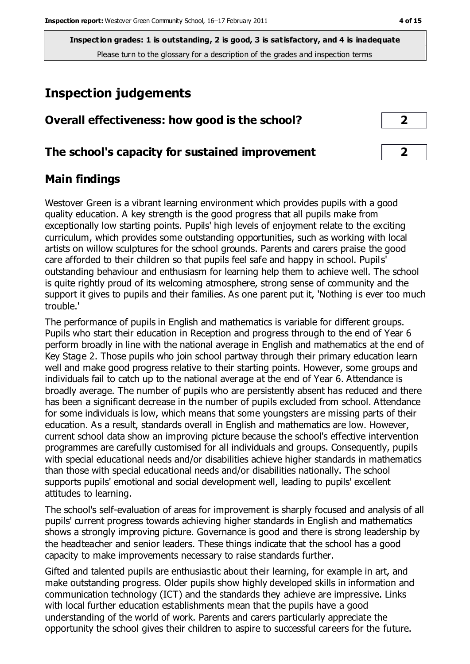# **Inspection judgements**

| Overall effectiveness: how good is the school? |  |
|------------------------------------------------|--|
|------------------------------------------------|--|

## **The school's capacity for sustained improvement 2**

## **Main findings**

Westover Green is a vibrant learning environment which provides pupils with a good quality education. A key strength is the good progress that all pupils make from exceptionally low starting points. Pupils' high levels of enjoyment relate to the exciting curriculum, which provides some outstanding opportunities, such as working with local artists on willow sculptures for the school grounds. Parents and carers praise the good care afforded to their children so that pupils feel safe and happy in school. Pupils' outstanding behaviour and enthusiasm for learning help them to achieve well. The school is quite rightly proud of its welcoming atmosphere, strong sense of community and the support it gives to pupils and their families. As one parent put it, 'Nothing is ever too much trouble.'

The performance of pupils in English and mathematics is variable for different groups. Pupils who start their education in Reception and progress through to the end of Year 6 perform broadly in line with the national average in English and mathematics at the end of Key Stage 2. Those pupils who join school partway through their primary education learn well and make good progress relative to their starting points. However, some groups and individuals fail to catch up to the national average at the end of Year 6. Attendance is broadly average. The number of pupils who are persistently absent has reduced and there has been a significant decrease in the number of pupils excluded from school. Attendance for some individuals is low, which means that some youngsters are missing parts of their education. As a result, standards overall in English and mathematics are low. However, current school data show an improving picture because the school's effective intervention programmes are carefully customised for all individuals and groups. Consequently, pupils with special educational needs and/or disabilities achieve higher standards in mathematics than those with special educational needs and/or disabilities nationally. The school supports pupils' emotional and social development well, leading to pupils' excellent attitudes to learning.

The school's self-evaluation of areas for improvement is sharply focused and analysis of all pupils' current progress towards achieving higher standards in English and mathematics shows a strongly improving picture. Governance is good and there is strong leadership by the headteacher and senior leaders. These things indicate that the school has a good capacity to make improvements necessary to raise standards further.

Gifted and talented pupils are enthusiastic about their learning, for example in art, and make outstanding progress. Older pupils show highly developed skills in information and communication technology (ICT) and the standards they achieve are impressive. Links with local further education establishments mean that the pupils have a good understanding of the world of work. Parents and carers particularly appreciate the opportunity the school gives their children to aspire to successful careers for the future.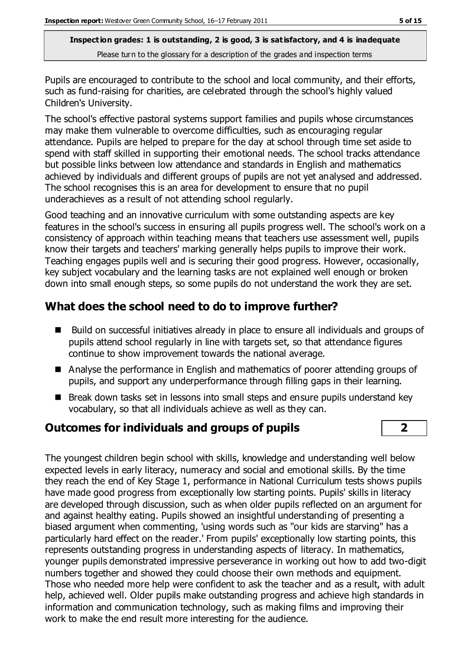Pupils are encouraged to contribute to the school and local community, and their efforts, such as fund-raising for charities, are celebrated through the school's highly valued Children's University.

The school's effective pastoral systems support families and pupils whose circumstances may make them vulnerable to overcome difficulties, such as encouraging regular attendance. Pupils are helped to prepare for the day at school through time set aside to spend with staff skilled in supporting their emotional needs. The school tracks attendance but possible links between low attendance and standards in English and mathematics achieved by individuals and different groups of pupils are not yet analysed and addressed. The school recognises this is an area for development to ensure that no pupil underachieves as a result of not attending school regularly.

Good teaching and an innovative curriculum with some outstanding aspects are key features in the school's success in ensuring all pupils progress well. The school's work on a consistency of approach within teaching means that teachers use assessment well, pupils know their targets and teachers' marking generally helps pupils to improve their work. Teaching engages pupils well and is securing their good progress. However, occasionally, key subject vocabulary and the learning tasks are not explained well enough or broken down into small enough steps, so some pupils do not understand the work they are set.

## **What does the school need to do to improve further?**

- Build on successful initiatives already in place to ensure all individuals and groups of pupils attend school regularly in line with targets set, so that attendance figures continue to show improvement towards the national average.
- Analyse the performance in English and mathematics of poorer attending groups of pupils, and support any underperformance through filling gaps in their learning.
- Break down tasks set in lessons into small steps and ensure pupils understand key vocabulary, so that all individuals achieve as well as they can.

## **Outcomes for individuals and groups of pupils 2**

The youngest children begin school with skills, knowledge and understanding well below expected levels in early literacy, numeracy and social and emotional skills. By the time they reach the end of Key Stage 1, performance in National Curriculum tests shows pupils have made good progress from exceptionally low starting points. Pupils' skills in literacy are developed through discussion, such as when older pupils reflected on an argument for and against healthy eating. Pupils showed an insightful understanding of presenting a biased argument when commenting, 'using words such as "our kids are starving" has a particularly hard effect on the reader.' From pupils' exceptionally low starting points, this represents outstanding progress in understanding aspects of literacy. In mathematics, younger pupils demonstrated impressive perseverance in working out how to add two-digit numbers together and showed they could choose their own methods and equipment. Those who needed more help were confident to ask the teacher and as a result, with adult help, achieved well. Older pupils make outstanding progress and achieve high standards in information and communication technology, such as making films and improving their work to make the end result more interesting for the audience.

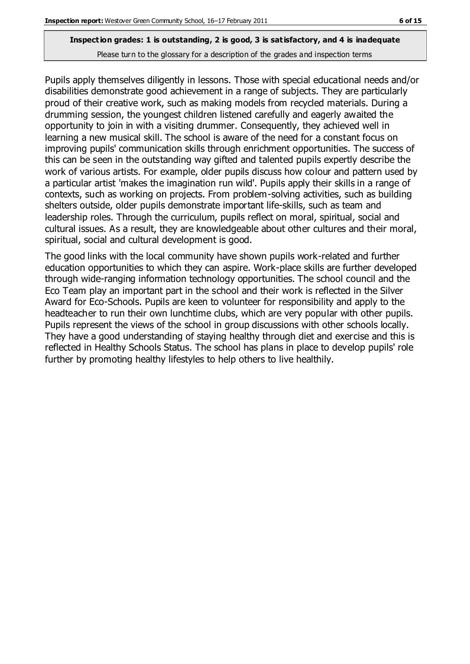Pupils apply themselves diligently in lessons. Those with special educational needs and/or disabilities demonstrate good achievement in a range of subjects. They are particularly proud of their creative work, such as making models from recycled materials. During a drumming session, the youngest children listened carefully and eagerly awaited the opportunity to join in with a visiting drummer. Consequently, they achieved well in learning a new musical skill. The school is aware of the need for a constant focus on improving pupils' communication skills through enrichment opportunities. The success of this can be seen in the outstanding way gifted and talented pupils expertly describe the work of various artists. For example, older pupils discuss how colour and pattern used by a particular artist 'makes the imagination run wild'. Pupils apply their skills in a range of contexts, such as working on projects. From problem-solving activities, such as building shelters outside, older pupils demonstrate important life-skills, such as team and leadership roles. Through the curriculum, pupils reflect on moral, spiritual, social and cultural issues. As a result, they are knowledgeable about other cultures and their moral, spiritual, social and cultural development is good.

The good links with the local community have shown pupils work-related and further education opportunities to which they can aspire. Work-place skills are further developed through wide-ranging information technology opportunities. The school council and the Eco Team play an important part in the school and their work is reflected in the Silver Award for Eco-Schools. Pupils are keen to volunteer for responsibility and apply to the headteacher to run their own lunchtime clubs, which are very popular with other pupils. Pupils represent the views of the school in group discussions with other schools locally. They have a good understanding of staying healthy through diet and exercise and this is reflected in Healthy Schools Status. The school has plans in place to develop pupils' role further by promoting healthy lifestyles to help others to live healthily.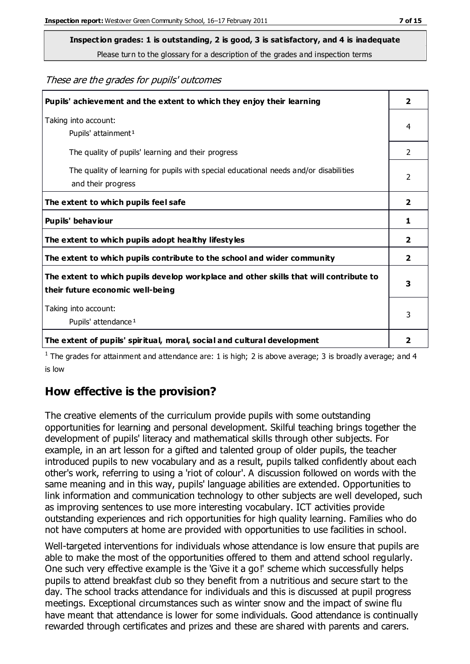**Inspection grades: 1 is outstanding, 2 is good, 3 is satisfactory, and 4 is inadequate**

Please turn to the glossary for a description of the grades and inspection terms

These are the grades for pupils' outcomes

| Pupils' achievement and the extent to which they enjoy their learning                                                     | $\overline{2}$ |
|---------------------------------------------------------------------------------------------------------------------------|----------------|
| Taking into account:<br>Pupils' attainment <sup>1</sup>                                                                   | 4              |
| The quality of pupils' learning and their progress                                                                        | $\overline{2}$ |
| The quality of learning for pupils with special educational needs and/or disabilities<br>and their progress               | $\overline{2}$ |
| The extent to which pupils feel safe                                                                                      | $\overline{2}$ |
| Pupils' behaviour                                                                                                         | 1              |
| The extent to which pupils adopt healthy lifestyles                                                                       | 2              |
| The extent to which pupils contribute to the school and wider community                                                   | $\mathbf{2}$   |
| The extent to which pupils develop workplace and other skills that will contribute to<br>their future economic well-being | 3              |
| Taking into account:<br>Pupils' attendance <sup>1</sup>                                                                   | 3              |
| The extent of pupils' spiritual, moral, social and cultural development                                                   | 2              |

<sup>1</sup> The grades for attainment and attendance are: 1 is high; 2 is above average; 3 is broadly average; and 4 is low

## **How effective is the provision?**

The creative elements of the curriculum provide pupils with some outstanding opportunities for learning and personal development. Skilful teaching brings together the development of pupils' literacy and mathematical skills through other subjects. For example, in an art lesson for a gifted and talented group of older pupils, the teacher introduced pupils to new vocabulary and as a result, pupils talked confidently about each other's work, referring to using a 'riot of colour'. A discussion followed on words with the same meaning and in this way, pupils' language abilities are extended. Opportunities to link information and communication technology to other subjects are well developed, such as improving sentences to use more interesting vocabulary. ICT activities provide outstanding experiences and rich opportunities for high quality learning. Families who do not have computers at home are provided with opportunities to use facilities in school.

Well-targeted interventions for individuals whose attendance is low ensure that pupils are able to make the most of the opportunities offered to them and attend school regularly. One such very effective example is the 'Give it a go!' scheme which successfully helps pupils to attend breakfast club so they benefit from a nutritious and secure start to the day. The school tracks attendance for individuals and this is discussed at pupil progress meetings. Exceptional circumstances such as winter snow and the impact of swine flu have meant that attendance is lower for some individuals. Good attendance is continually rewarded through certificates and prizes and these are shared with parents and carers.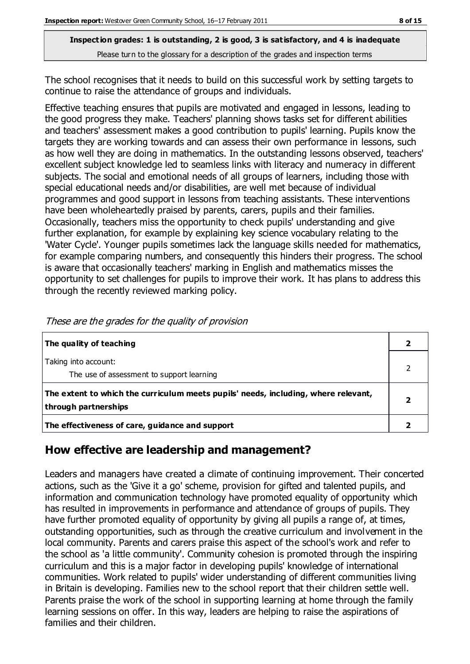The school recognises that it needs to build on this successful work by setting targets to continue to raise the attendance of groups and individuals.

Effective teaching ensures that pupils are motivated and engaged in lessons, leading to the good progress they make. Teachers' planning shows tasks set for different abilities and teachers' assessment makes a good contribution to pupils' learning. Pupils know the targets they are working towards and can assess their own performance in lessons, such as how well they are doing in mathematics. In the outstanding lessons observed, teachers' excellent subject knowledge led to seamless links with literacy and numeracy in different subjects. The social and emotional needs of all groups of learners, including those with special educational needs and/or disabilities, are well met because of individual programmes and good support in lessons from teaching assistants. These interventions have been wholeheartedly praised by parents, carers, pupils and their families. Occasionally, teachers miss the opportunity to check pupils' understanding and give further explanation, for example by explaining key science vocabulary relating to the 'Water Cycle'. Younger pupils sometimes lack the language skills needed for mathematics, for example comparing numbers, and consequently this hinders their progress. The school is aware that occasionally teachers' marking in English and mathematics misses the opportunity to set challenges for pupils to improve their work. It has plans to address this through the recently reviewed marking policy.

| The quality of teaching                                                                                    |  |
|------------------------------------------------------------------------------------------------------------|--|
| Taking into account:<br>The use of assessment to support learning                                          |  |
| The extent to which the curriculum meets pupils' needs, including, where relevant,<br>through partnerships |  |
| The effectiveness of care, guidance and support                                                            |  |

These are the grades for the quality of provision

## **How effective are leadership and management?**

Leaders and managers have created a climate of continuing improvement. Their concerted actions, such as the 'Give it a go' scheme, provision for gifted and talented pupils, and information and communication technology have promoted equality of opportunity which has resulted in improvements in performance and attendance of groups of pupils. They have further promoted equality of opportunity by giving all pupils a range of, at times, outstanding opportunities, such as through the creative curriculum and involvement in the local community. Parents and carers praise this aspect of the school's work and refer to the school as 'a little community'. Community cohesion is promoted through the inspiring curriculum and this is a major factor in developing pupils' knowledge of international communities. Work related to pupils' wider understanding of different communities living in Britain is developing. Families new to the school report that their children settle well. Parents praise the work of the school in supporting learning at home through the family learning sessions on offer. In this way, leaders are helping to raise the aspirations of families and their children.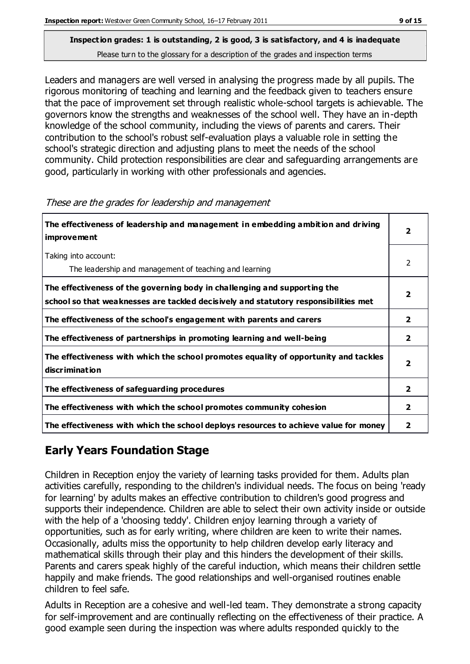Leaders and managers are well versed in analysing the progress made by all pupils. The rigorous monitoring of teaching and learning and the feedback given to teachers ensure that the pace of improvement set through realistic whole-school targets is achievable. The governors know the strengths and weaknesses of the school well. They have an in-depth knowledge of the school community, including the views of parents and carers. Their contribution to the school's robust self-evaluation plays a valuable role in setting the school's strategic direction and adjusting plans to meet the needs of the school community. Child protection responsibilities are clear and safeguarding arrangements are good, particularly in working with other professionals and agencies.

| The effectiveness of leadership and management in embedding ambition and driving<br><i>improvement</i>                                                           |                |
|------------------------------------------------------------------------------------------------------------------------------------------------------------------|----------------|
| Taking into account:<br>The leadership and management of teaching and learning                                                                                   | 2              |
| The effectiveness of the governing body in challenging and supporting the<br>school so that weaknesses are tackled decisively and statutory responsibilities met | 2              |
| The effectiveness of the school's engagement with parents and carers                                                                                             | $\overline{2}$ |
| The effectiveness of partnerships in promoting learning and well-being                                                                                           | $\overline{2}$ |
| The effectiveness with which the school promotes equality of opportunity and tackles<br>discrimination                                                           | 2              |
| The effectiveness of safeguarding procedures                                                                                                                     | 2              |
| The effectiveness with which the school promotes community cohesion                                                                                              | 2              |
| The effectiveness with which the school deploys resources to achieve value for money                                                                             | 2              |

#### These are the grades for leadership and management

# **Early Years Foundation Stage**

Children in Reception enjoy the variety of learning tasks provided for them. Adults plan activities carefully, responding to the children's individual needs. The focus on being 'ready for learning' by adults makes an effective contribution to children's good progress and supports their independence. Children are able to select their own activity inside or outside with the help of a 'choosing teddy'. Children enjoy learning through a variety of opportunities, such as for early writing, where children are keen to write their names. Occasionally, adults miss the opportunity to help children develop early literacy and mathematical skills through their play and this hinders the development of their skills. Parents and carers speak highly of the careful induction, which means their children settle happily and make friends. The good relationships and well-organised routines enable children to feel safe.

Adults in Reception are a cohesive and well-led team. They demonstrate a strong capacity for self-improvement and are continually reflecting on the effectiveness of their practice. A good example seen during the inspection was where adults responded quickly to the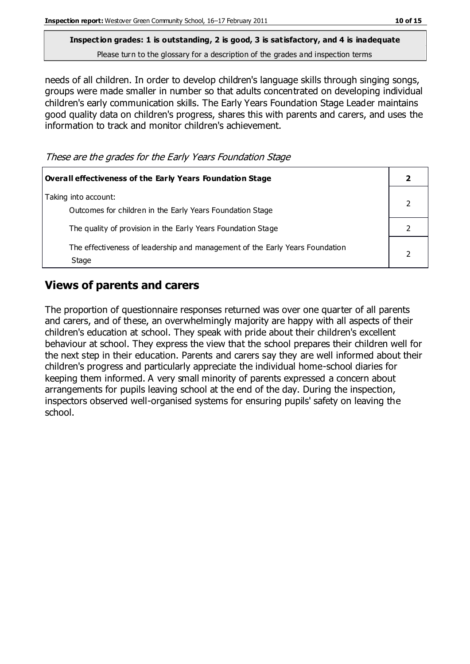needs of all children. In order to develop children's language skills through singing songs, groups were made smaller in number so that adults concentrated on developing individual children's early communication skills. The Early Years Foundation Stage Leader maintains good quality data on children's progress, shares this with parents and carers, and uses the information to track and monitor children's achievement.

These are the grades for the Early Years Foundation Stage

| Overall effectiveness of the Early Years Foundation Stage                             |  |
|---------------------------------------------------------------------------------------|--|
| Taking into account:<br>Outcomes for children in the Early Years Foundation Stage     |  |
| The quality of provision in the Early Years Foundation Stage                          |  |
| The effectiveness of leadership and management of the Early Years Foundation<br>Stage |  |

## **Views of parents and carers**

The proportion of questionnaire responses returned was over one quarter of all parents and carers, and of these, an overwhelmingly majority are happy with all aspects of their children's education at school. They speak with pride about their children's excellent behaviour at school. They express the view that the school prepares their children well for the next step in their education. Parents and carers say they are well informed about their children's progress and particularly appreciate the individual home-school diaries for keeping them informed. A very small minority of parents expressed a concern about arrangements for pupils leaving school at the end of the day. During the inspection, inspectors observed well-organised systems for ensuring pupils' safety on leaving the school.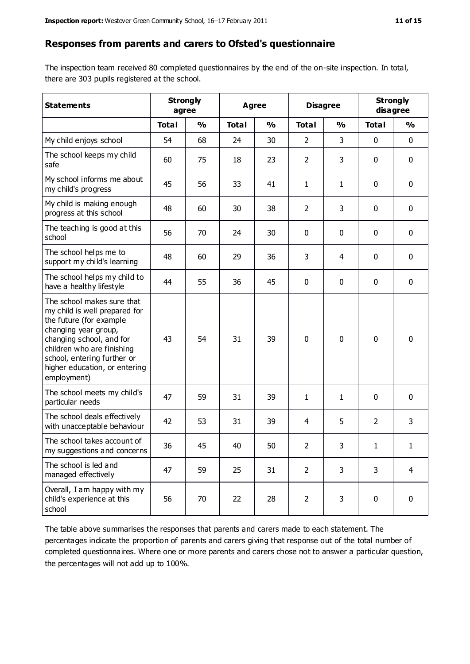#### **Responses from parents and carers to Ofsted's questionnaire**

The inspection team received 80 completed questionnaires by the end of the on-site inspection. In total, there are 303 pupils registered at the school.

| <b>Statements</b>                                                                                                                                                                                                                                       | <b>Strongly</b> | agree         | <b>Agree</b> |               | <b>Disagree</b> |               | <b>Strongly</b><br>disagree |               |
|---------------------------------------------------------------------------------------------------------------------------------------------------------------------------------------------------------------------------------------------------------|-----------------|---------------|--------------|---------------|-----------------|---------------|-----------------------------|---------------|
|                                                                                                                                                                                                                                                         | <b>Total</b>    | $\frac{0}{0}$ | <b>Total</b> | $\frac{0}{0}$ | <b>Total</b>    | $\frac{0}{0}$ | <b>Total</b>                | $\frac{0}{0}$ |
| My child enjoys school                                                                                                                                                                                                                                  | 54              | 68            | 24           | 30            | $\overline{2}$  | 3             | $\mathbf 0$                 | $\mathbf 0$   |
| The school keeps my child<br>safe                                                                                                                                                                                                                       | 60              | 75            | 18           | 23            | $\overline{2}$  | 3             | $\mathbf 0$                 | $\mathbf 0$   |
| My school informs me about<br>my child's progress                                                                                                                                                                                                       | 45              | 56            | 33           | 41            | 1               | $\mathbf{1}$  | $\mathbf{0}$                | $\mathbf 0$   |
| My child is making enough<br>progress at this school                                                                                                                                                                                                    | 48              | 60            | 30           | 38            | $\overline{2}$  | 3             | $\mathbf 0$                 | $\mathbf 0$   |
| The teaching is good at this<br>school                                                                                                                                                                                                                  | 56              | 70            | 24           | 30            | 0               | 0             | $\mathbf{0}$                | $\mathbf 0$   |
| The school helps me to<br>support my child's learning                                                                                                                                                                                                   | 48              | 60            | 29           | 36            | 3               | 4             | $\mathbf 0$                 | $\mathbf 0$   |
| The school helps my child to<br>have a healthy lifestyle                                                                                                                                                                                                | 44              | 55            | 36           | 45            | 0               | $\mathbf 0$   | $\mathbf 0$                 | $\mathbf 0$   |
| The school makes sure that<br>my child is well prepared for<br>the future (for example<br>changing year group,<br>changing school, and for<br>children who are finishing<br>school, entering further or<br>higher education, or entering<br>employment) | 43              | 54            | 31           | 39            | 0               | $\mathbf 0$   | $\mathbf 0$                 | $\mathbf 0$   |
| The school meets my child's<br>particular needs                                                                                                                                                                                                         | 47              | 59            | 31           | 39            | 1               | 1             | $\mathbf{0}$                | $\mathbf 0$   |
| The school deals effectively<br>with unacceptable behaviour                                                                                                                                                                                             | 42              | 53            | 31           | 39            | 4               | 5             | $\overline{2}$              | 3             |
| The school takes account of<br>my suggestions and concerns                                                                                                                                                                                              | 36              | 45            | 40           | 50            | $\mathcal{P}$   | 3.            | 1                           | 1             |
| The school is led and<br>managed effectively                                                                                                                                                                                                            | 47              | 59            | 25           | 31            | $\overline{2}$  | 3             | 3                           | 4             |
| Overall, I am happy with my<br>child's experience at this<br>school                                                                                                                                                                                     | 56              | 70            | 22           | 28            | $\overline{2}$  | 3             | $\mathbf 0$                 | $\pmb{0}$     |

The table above summarises the responses that parents and carers made to each statement. The percentages indicate the proportion of parents and carers giving that response out of the total number of completed questionnaires. Where one or more parents and carers chose not to answer a particular question, the percentages will not add up to 100%.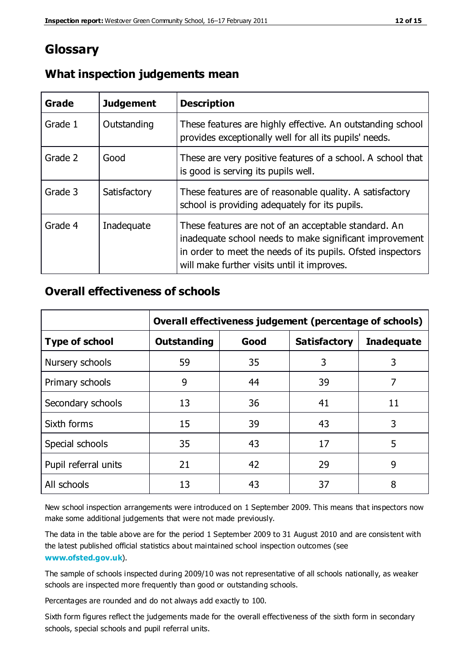# **Glossary**

| Grade   | <b>Judgement</b> | <b>Description</b>                                                                                                                                                                                                            |
|---------|------------------|-------------------------------------------------------------------------------------------------------------------------------------------------------------------------------------------------------------------------------|
| Grade 1 | Outstanding      | These features are highly effective. An outstanding school<br>provides exceptionally well for all its pupils' needs.                                                                                                          |
| Grade 2 | Good             | These are very positive features of a school. A school that<br>is good is serving its pupils well.                                                                                                                            |
| Grade 3 | Satisfactory     | These features are of reasonable quality. A satisfactory<br>school is providing adequately for its pupils.                                                                                                                    |
| Grade 4 | Inadequate       | These features are not of an acceptable standard. An<br>inadequate school needs to make significant improvement<br>in order to meet the needs of its pupils. Ofsted inspectors<br>will make further visits until it improves. |

## **What inspection judgements mean**

## **Overall effectiveness of schools**

|                       | Overall effectiveness judgement (percentage of schools) |      |                     |                   |
|-----------------------|---------------------------------------------------------|------|---------------------|-------------------|
| <b>Type of school</b> | <b>Outstanding</b>                                      | Good | <b>Satisfactory</b> | <b>Inadequate</b> |
| Nursery schools       | 59                                                      | 35   | 3                   | 3                 |
| Primary schools       | 9                                                       | 44   | 39                  | 7                 |
| Secondary schools     | 13                                                      | 36   | 41                  | 11                |
| Sixth forms           | 15                                                      | 39   | 43                  | 3                 |
| Special schools       | 35                                                      | 43   | 17                  | 5                 |
| Pupil referral units  | 21                                                      | 42   | 29                  | 9                 |
| All schools           | 13                                                      | 43   | 37                  | 8                 |

New school inspection arrangements were introduced on 1 September 2009. This means that inspectors now make some additional judgements that were not made previously.

The data in the table above are for the period 1 September 2009 to 31 August 2010 and are consistent with the latest published official statistics about maintained school inspection outcomes (see **[www.ofsted.gov.uk](http://www.ofsted.gov.uk/)**).

The sample of schools inspected during 2009/10 was not representative of all schools nationally, as weaker schools are inspected more frequently than good or outstanding schools.

Percentages are rounded and do not always add exactly to 100.

Sixth form figures reflect the judgements made for the overall effectiveness of the sixth form in secondary schools, special schools and pupil referral units.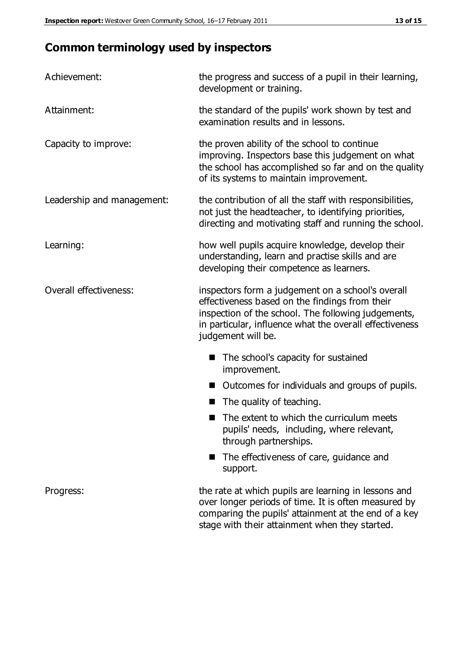# **Common terminology used by inspectors**

| Achievement:               | the progress and success of a pupil in their learning,<br>development or training.                                                                                                                                                          |
|----------------------------|---------------------------------------------------------------------------------------------------------------------------------------------------------------------------------------------------------------------------------------------|
| Attainment:                | the standard of the pupils' work shown by test and<br>examination results and in lessons.                                                                                                                                                   |
| Capacity to improve:       | the proven ability of the school to continue<br>improving. Inspectors base this judgement on what<br>the school has accomplished so far and on the quality<br>of its systems to maintain improvement.                                       |
| Leadership and management: | the contribution of all the staff with responsibilities,<br>not just the headteacher, to identifying priorities,<br>directing and motivating staff and running the school.                                                                  |
| Learning:                  | how well pupils acquire knowledge, develop their<br>understanding, learn and practise skills and are<br>developing their competence as learners.                                                                                            |
| Overall effectiveness:     | inspectors form a judgement on a school's overall<br>effectiveness based on the findings from their<br>inspection of the school. The following judgements,<br>in particular, influence what the overall effectiveness<br>judgement will be. |
|                            | The school's capacity for sustained<br>improvement.                                                                                                                                                                                         |
|                            | Outcomes for individuals and groups of pupils.                                                                                                                                                                                              |
|                            | The quality of teaching.                                                                                                                                                                                                                    |
|                            | The extent to which the curriculum meets<br>pupils' needs, including, where relevant,<br>through partnerships.                                                                                                                              |
|                            | The effectiveness of care, guidance and<br>support.                                                                                                                                                                                         |
| Progress:                  | the rate at which pupils are learning in lessons and<br>over longer periods of time. It is often measured by<br>comparing the pupils' attainment at the end of a key                                                                        |

stage with their attainment when they started.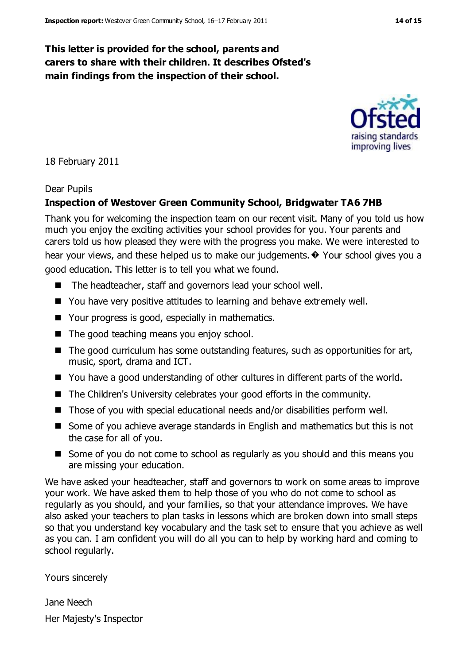## **This letter is provided for the school, parents and carers to share with their children. It describes Ofsted's main findings from the inspection of their school.**

18 February 2011

#### Dear Pupils

#### **Inspection of Westover Green Community School, Bridgwater TA6 7HB**

Thank you for welcoming the inspection team on our recent visit. Many of you told us how much you enjoy the exciting activities your school provides for you. Your parents and carers told us how pleased they were with the progress you make. We were interested to hear your views, and these helped us to make our judgements. $\odot$  Your school gives you a good education. This letter is to tell you what we found.

- The headteacher, staff and governors lead your school well.
- You have very positive attitudes to learning and behave extremely well.
- Your progress is good, especially in mathematics.
- The good teaching means you enjoy school.
- $\blacksquare$  The good curriculum has some outstanding features, such as opportunities for art, music, sport, drama and ICT.
- You have a good understanding of other cultures in different parts of the world.
- The Children's University celebrates your good efforts in the community.
- Those of you with special educational needs and/or disabilities perform well.
- Some of you achieve average standards in English and mathematics but this is not the case for all of you.
- Some of you do not come to school as regularly as you should and this means you are missing your education.

We have asked your headteacher, staff and governors to work on some areas to improve your work. We have asked them to help those of you who do not come to school as regularly as you should, and your families, so that your attendance improves. We have also asked your teachers to plan tasks in lessons which are broken down into small steps so that you understand key vocabulary and the task set to ensure that you achieve as well as you can. I am confident you will do all you can to help by working hard and coming to school regularly.

Yours sincerely

Jane Neech Her Majesty's Inspector